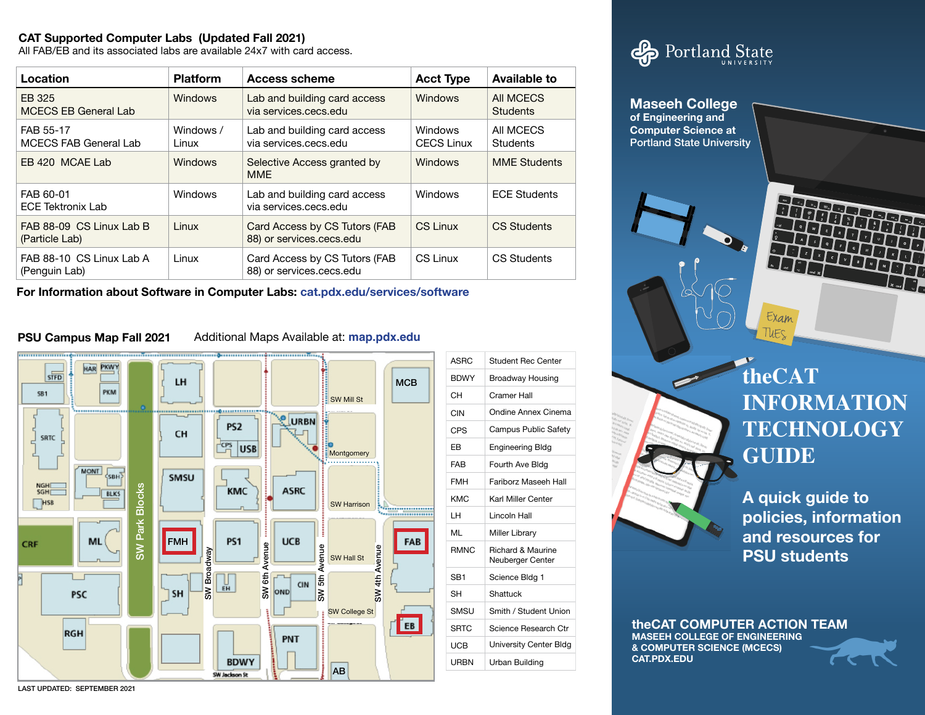## **CAT Supported Computer Labs (Updated Fall 2021)**

All FAB/EB and its associated labs are available 24x7 with card access.

| Location                                   | <b>Platform</b>    | <b>Access scheme</b>                                      | <b>Acct Type</b>                    | Available to                 |
|--------------------------------------------|--------------------|-----------------------------------------------------------|-------------------------------------|------------------------------|
| EB 325<br><b>MCECS EB General Lab</b>      | <b>Windows</b>     | Lab and building card access<br>via services.cecs.edu     | <b>Windows</b>                      | All MCECS<br><b>Students</b> |
| FAB 55-17<br>MCECS FAB General Lab         | Windows /<br>Linux | Lab and building card access<br>via services.cecs.edu     | <b>Windows</b><br><b>CECS Linux</b> | All MCECS<br><b>Students</b> |
| EB 420 MCAE Lab                            | <b>Windows</b>     | Selective Access granted by<br><b>MME</b>                 | <b>Windows</b>                      | <b>MME Students</b>          |
| FAB 60-01<br><b>ECE Tektronix Lab</b>      | Windows            | Lab and building card access<br>via services.cecs.edu     | <b>Windows</b>                      | <b>ECE Students</b>          |
| FAB 88-09 CS Linux Lab B<br>(Particle Lab) | Linux              | Card Access by CS Tutors (FAB<br>88) or services.cecs.edu | CS Linux                            | <b>CS Students</b>           |
| FAB 88-10 CS Linux Lab A<br>(Penguin Lab)  | Linux              | Card Access by CS Tutors (FAB<br>88) or services.cecs.edu | CS Linux                            | <b>CS Students</b>           |

**For Information about Software in Computer Labs: cat.pdx.edu/services/software**

## **PSU Campus Map Fall 2021**

Additional Maps Available at: **map.pdx.edu**



| <b>ASRC</b>     | Student Rec Center                               |  |
|-----------------|--------------------------------------------------|--|
| <b>BDWY</b>     | <b>Broadway Housing</b>                          |  |
| CН              | Cramer Hall                                      |  |
| CIN             | Ondine Annex Cinema                              |  |
| CPS             | Campus Public Safety                             |  |
| FB.             | Engineering Bldg                                 |  |
| <b>FAB</b>      | Fourth Ave Bldg                                  |  |
| <b>FMH</b>      | <b>Fariborz Maseeb Hall</b>                      |  |
| <b>KMC</b>      | Karl Miller Center                               |  |
| і н             | I incoln Hall                                    |  |
| MI              | <b>Miller Library</b>                            |  |
| <b>RMNC</b>     | <b>Richard &amp; Maurine</b><br>Neuberger Center |  |
| SB <sub>1</sub> | Science Bldg 1                                   |  |
| SН              | Shattuck                                         |  |
| SMSU            | Smith / Student Union                            |  |
| <b>SRTC</b>     | Science Research Ctr                             |  |
| UCB             | University Center Bldg                           |  |
| URBN            | Urban Building                                   |  |





Exam Πιες

# **theCAT INFORMATION TECHNOLOGY GUIDE**

**A quick guide to policies, information and resources for PSU students**

**theCAT COMPUTER ACTION TEAM MASEEH COLLEGE OF ENGINEERING & COMPUTER SCIENCE (MCECS) CAT.PDX.EDU**



LAST UPDATED: SEPTEMBER 2021